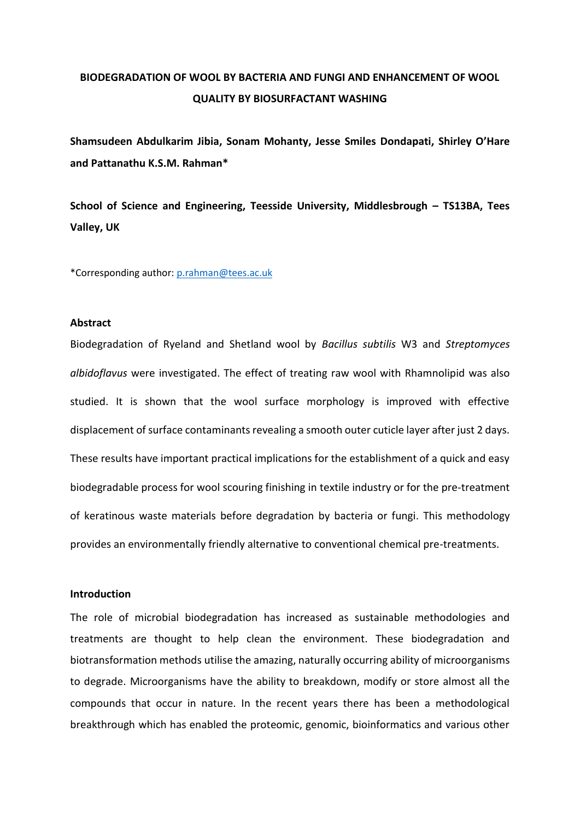# **BIODEGRADATION OF WOOL BY BACTERIA AND FUNGI AND ENHANCEMENT OF WOOL QUALITY BY BIOSURFACTANT WASHING**

**Shamsudeen Abdulkarim Jibia, Sonam Mohanty, Jesse Smiles Dondapati, Shirley O'Hare and Pattanathu K.S.M. Rahman\***

**School of Science and Engineering, Teesside University, Middlesbrough – TS13BA, Tees Valley, UK**

\*Corresponding author: [p.rahman@tees.ac.uk](mailto:p.rahman@tees.ac.uk)

#### **Abstract**

Biodegradation of Ryeland and Shetland wool by *Bacillus subtilis* W3 and *Streptomyces albidoflavus* were investigated. The effect of treating raw wool with Rhamnolipid was also studied. It is shown that the wool surface morphology is improved with effective displacement of surface contaminants revealing a smooth outer cuticle layer after just 2 days. These results have important practical implications for the establishment of a quick and easy biodegradable process for wool scouring finishing in textile industry or for the pre-treatment of keratinous waste materials before degradation by bacteria or fungi. This methodology provides an environmentally friendly alternative to conventional chemical pre-treatments.

### **Introduction**

The role of microbial biodegradation has increased as sustainable methodologies and treatments are thought to help clean the environment. These biodegradation and biotransformation methods utilise the amazing, naturally occurring ability of microorganisms to degrade. Microorganisms have the ability to breakdown, modify or store almost all the compounds that occur in nature. In the recent years there has been a methodological breakthrough which has enabled the proteomic, genomic, bioinformatics and various other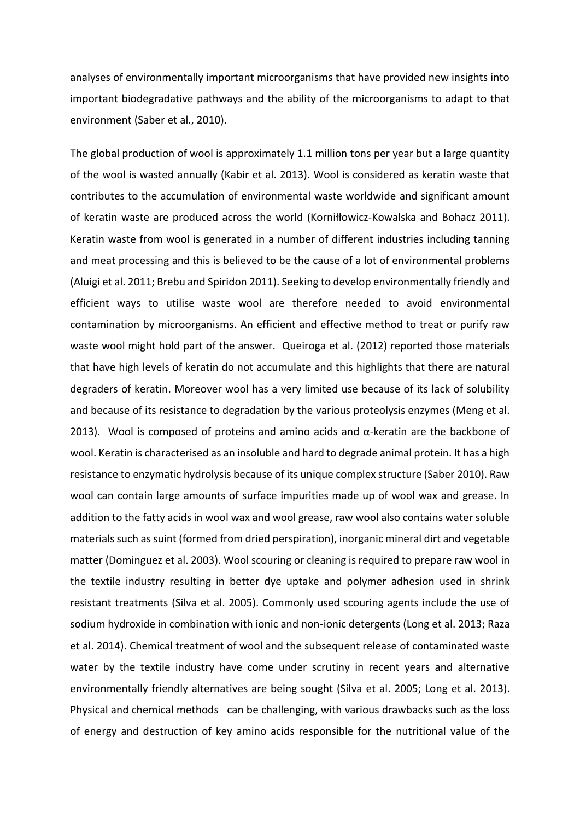analyses of environmentally important microorganisms that have provided new insights into important biodegradative pathways and the ability of the microorganisms to adapt to that environment (Saber et al., 2010).

The global production of wool is approximately 1.1 million tons per year but a large quantity of the wool is wasted annually (Kabir et al. 2013). Wool is considered as keratin waste that contributes to the accumulation of environmental waste worldwide and significant amount of keratin waste are produced across the world (Korniłłowicz-Kowalska and Bohacz 2011). Keratin waste from wool is generated in a number of different industries including tanning and meat processing and this is believed to be the cause of a lot of environmental problems (Aluigi et al. 2011; Brebu and Spiridon 2011). Seeking to develop environmentally friendly and efficient ways to utilise waste wool are therefore needed to avoid environmental contamination by microorganisms. An efficient and effective method to treat or purify raw waste wool might hold part of the answer. Queiroga et al. (2012) reported those materials that have high levels of keratin do not accumulate and this highlights that there are natural degraders of keratin. Moreover wool has a very limited use because of its lack of solubility and because of its resistance to degradation by the various proteolysis enzymes (Meng et al. 2013). Wool is composed of proteins and amino acids and  $α$ -keratin are the backbone of wool. Keratin is characterised as an insoluble and hard to degrade animal protein. It has a high resistance to enzymatic hydrolysis because of its unique complex structure (Saber 2010). Raw wool can contain large amounts of surface impurities made up of wool wax and grease. In addition to the fatty acids in wool wax and wool grease, raw wool also contains water soluble materials such as suint (formed from dried perspiration), inorganic mineral dirt and vegetable matter (Dominguez et al. 2003). Wool scouring or cleaning is required to prepare raw wool in the textile industry resulting in better dye uptake and polymer adhesion used in shrink resistant treatments (Silva et al. 2005). Commonly used scouring agents include the use of sodium hydroxide in combination with ionic and non-ionic detergents (Long et al. 2013; Raza et al. 2014). Chemical treatment of wool and the subsequent release of contaminated waste water by the textile industry have come under scrutiny in recent years and alternative environmentally friendly alternatives are being sought (Silva et al. 2005; Long et al. 2013). Physical and chemical methods can be challenging, with various drawbacks such as the loss of energy and destruction of key amino acids responsible for the nutritional value of the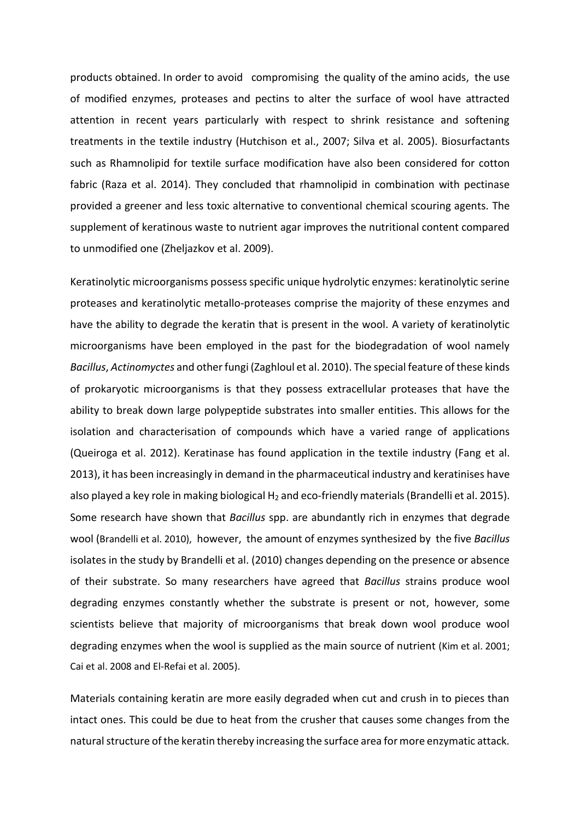products obtained. In order to avoid compromising the quality of the amino acids, the use of modified enzymes, proteases and pectins to alter the surface of wool have attracted attention in recent years particularly with respect to shrink resistance and softening treatments in the textile industry (Hutchison et al., 2007; Silva et al. 2005). Biosurfactants such as Rhamnolipid for textile surface modification have also been considered for cotton fabric (Raza et al. 2014). They concluded that rhamnolipid in combination with pectinase provided a greener and less toxic alternative to conventional chemical scouring agents. The supplement of keratinous waste to nutrient agar improves the nutritional content compared to unmodified one (Zheljazkov et al. 2009).

Keratinolytic microorganisms possess specific unique hydrolytic enzymes: keratinolytic serine proteases and keratinolytic metallo-proteases comprise the majority of these enzymes and have the ability to degrade the keratin that is present in the wool. A variety of keratinolytic microorganisms have been employed in the past for the biodegradation of wool namely *Bacillus*, *Actinomyctes* and other fungi (Zaghloul et al. 2010). The special feature of these kinds of prokaryotic microorganisms is that they possess extracellular proteases that have the ability to break down large polypeptide substrates into smaller entities. This allows for the isolation and characterisation of compounds which have a varied range of applications (Queiroga et al. 2012). Keratinase has found application in the textile industry (Fang et al. 2013), it has been increasingly in demand in the pharmaceutical industry and keratinises have also played a key role in making biological  $H_2$  and eco-friendly materials (Brandelli et al. 2015). Some research have shown that *Bacillus* spp. are abundantly rich in enzymes that degrade wool ([Brandelli et al.](http://www.sciencedirect.com/science/article/pii/S0964830512000443#bib2) 2010), however, the amount of enzymes synthesized by the five *Bacillus* isolates in the study by Brandelli et al. (2010) changes depending on the presence or absence of their substrate. So many researchers have agreed that *Bacillus* strains produce wool degrading enzymes constantly whether the substrate is present or not, however, some scientists believe that majority of microorganisms that break down wool produce wool degrading enzymes when the wool is supplied as the main source of nutrient [\(Kim et al.](http://www.sciencedirect.com/science/article/pii/S0964830512000443#bib8) 2001; [Cai et al.](http://www.sciencedirect.com/science/article/pii/S0964830512000443#bib3) 2008 and [El-Refai et al.](http://www.sciencedirect.com/science/article/pii/S0964830512000443#bib13) 2005).

Materials containing keratin are more easily degraded when cut and crush in to pieces than intact ones. This could be due to heat from the crusher that causes some changes from the natural structure of the keratin thereby increasing the surface area for more enzymatic attack.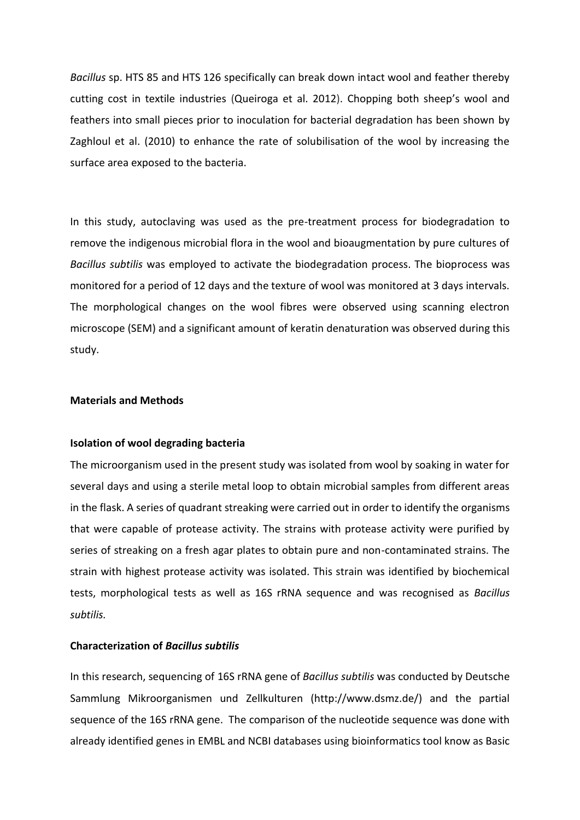*Bacillus* sp. HTS 85 and HTS 126 specifically can break down intact wool and feather thereby cutting cost in textile industries (Queiroga et al. 2012). Chopping both sheep's wool and feathers into small pieces prior to inoculation for bacterial degradation has been shown by Zaghloul et al. (2010) to enhance the rate of solubilisation of the wool by increasing the surface area exposed to the bacteria.

In this study, autoclaving was used as the pre-treatment process for biodegradation to remove the indigenous microbial flora in the wool and bioaugmentation by pure cultures of *Bacillus subtilis* was employed to activate the biodegradation process. The bioprocess was monitored for a period of 12 days and the texture of wool was monitored at 3 days intervals. The morphological changes on the wool fibres were observed using scanning electron microscope (SEM) and a significant amount of keratin denaturation was observed during this study.

# **Materials and Methods**

### **Isolation of wool degrading bacteria**

The microorganism used in the present study was isolated from wool by soaking in water for several days and using a sterile metal loop to obtain microbial samples from different areas in the flask. A series of quadrant streaking were carried out in order to identify the organisms that were capable of protease activity. The strains with protease activity were purified by series of streaking on a fresh agar plates to obtain pure and non-contaminated strains. The strain with highest protease activity was isolated. This strain was identified by biochemical tests, morphological tests as well as 16S rRNA sequence and was recognised as *Bacillus subtilis.*

## **Characterization of** *Bacillus subtilis*

In this research, sequencing of 16S rRNA gene of *Bacillus subtilis* was conducted by Deutsche Sammlung Mikroorganismen und Zellkulturen (http://www.dsmz.de/) and the partial sequence of the 16S rRNA gene. The comparison of the nucleotide sequence was done with already identified genes in EMBL and NCBI databases using bioinformatics tool know as Basic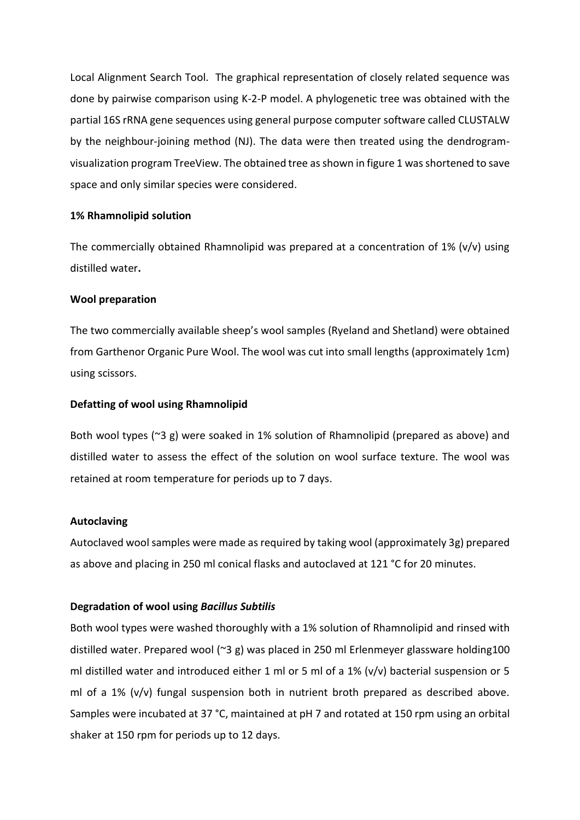Local Alignment Search Tool. The graphical representation of closely related sequence was done by pairwise comparison using K-2-P model. A phylogenetic tree was obtained with the partial 16S rRNA gene sequences using general purpose computer software called CLUSTALW by the neighbour-joining method (NJ). The data were then treated using the dendrogramvisualization program TreeView. The obtained tree as shown in figure 1 was shortened to save space and only similar species were considered.

# **1% Rhamnolipid solution**

The commercially obtained Rhamnolipid was prepared at a concentration of  $1\%$  (v/v) using distilled water**.**

# **Wool preparation**

The two commercially available sheep's wool samples (Ryeland and Shetland) were obtained from Garthenor Organic Pure Wool. The wool was cut into small lengths (approximately 1cm) using scissors.

# **Defatting of wool using Rhamnolipid**

Both wool types (~3 g) were soaked in 1% solution of Rhamnolipid (prepared as above) and distilled water to assess the effect of the solution on wool surface texture. The wool was retained at room temperature for periods up to 7 days.

# **Autoclaving**

Autoclaved wool samples were made as required by taking wool (approximately 3g) prepared as above and placing in 250 ml conical flasks and autoclaved at 121 °C for 20 minutes.

### **Degradation of wool using** *Bacillus Subtilis*

Both wool types were washed thoroughly with a 1% solution of Rhamnolipid and rinsed with distilled water. Prepared wool (~3 g) was placed in 250 ml Erlenmeyer glassware holding100 ml distilled water and introduced either 1 ml or 5 ml of a 1% (v/v) bacterial suspension or 5 ml of a  $1\%$  (v/v) fungal suspension both in nutrient broth prepared as described above. Samples were incubated at 37 °C, maintained at pH 7 and rotated at 150 rpm using an orbital shaker at 150 rpm for periods up to 12 days.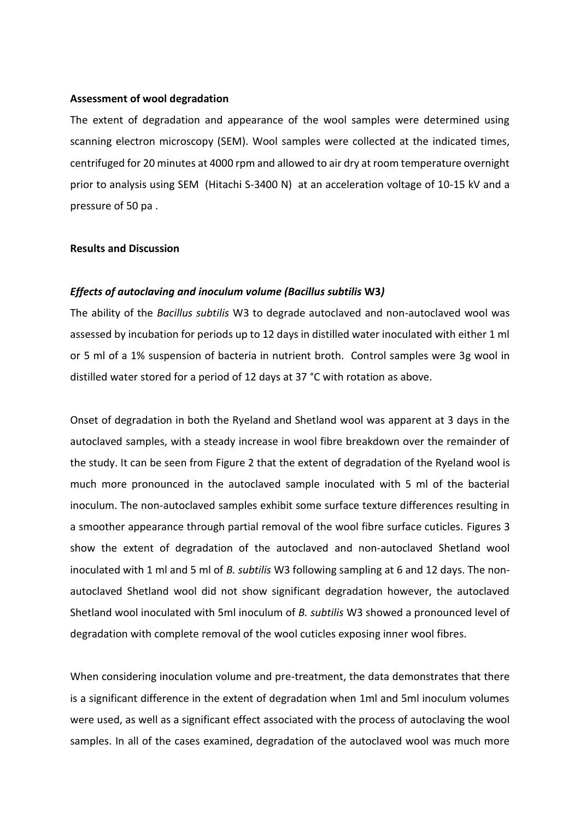#### **Assessment of wool degradation**

The extent of degradation and appearance of the wool samples were determined using scanning electron microscopy (SEM). Wool samples were collected at the indicated times, centrifuged for 20 minutes at 4000 rpm and allowed to air dry at room temperature overnight prior to analysis using SEM (Hitachi S-3400 N) at an acceleration voltage of 10-15 kV and a pressure of 50 pa .

#### **Results and Discussion**

#### *Effects of autoclaving and inoculum volume (Bacillus subtilis* **W3***)*

The ability of the *Bacillus subtilis* W3 to degrade autoclaved and non-autoclaved wool was assessed by incubation for periods up to 12 days in distilled water inoculated with either 1 ml or 5 ml of a 1% suspension of bacteria in nutrient broth. Control samples were 3g wool in distilled water stored for a period of 12 days at 37 °C with rotation as above.

Onset of degradation in both the Ryeland and Shetland wool was apparent at 3 days in the autoclaved samples, with a steady increase in wool fibre breakdown over the remainder of the study. It can be seen from Figure 2 that the extent of degradation of the Ryeland wool is much more pronounced in the autoclaved sample inoculated with 5 ml of the bacterial inoculum. The non-autoclaved samples exhibit some surface texture differences resulting in a smoother appearance through partial removal of the wool fibre surface cuticles. Figures 3 show the extent of degradation of the autoclaved and non-autoclaved Shetland wool inoculated with 1 ml and 5 ml of *B. subtilis* W3 following sampling at 6 and 12 days. The nonautoclaved Shetland wool did not show significant degradation however, the autoclaved Shetland wool inoculated with 5ml inoculum of *B. subtilis* W3 showed a pronounced level of degradation with complete removal of the wool cuticles exposing inner wool fibres.

When considering inoculation volume and pre-treatment, the data demonstrates that there is a significant difference in the extent of degradation when 1ml and 5ml inoculum volumes were used, as well as a significant effect associated with the process of autoclaving the wool samples. In all of the cases examined, degradation of the autoclaved wool was much more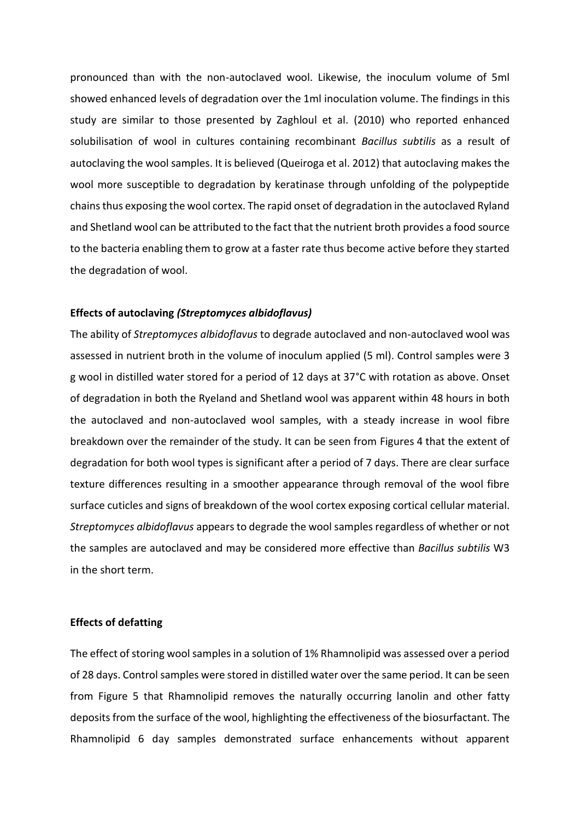pronounced than with the non-autoclaved wool. Likewise, the inoculum volume of 5ml showed enhanced levels of degradation over the 1ml inoculation volume. The findings in this study are similar to those presented by Zaghloul et al. (2010) who reported enhanced solubilisation of wool in cultures containing recombinant *Bacillus subtilis* as a result of autoclaving the wool samples. It is believed (Queiroga et al. 2012) that autoclaving makes the wool more susceptible to degradation by keratinase through unfolding of the polypeptide chains thus exposing the wool cortex. The rapid onset of degradation in the autoclaved Ryland and Shetland wool can be attributed to the fact that the nutrient broth provides a food source to the bacteria enabling them to grow at a faster rate thus become active before they started the degradation of wool.

## **Effects of autoclaving** *(Streptomyces albidoflavus)*

The ability of *Streptomyces albidoflavus* to degrade autoclaved and non-autoclaved wool was assessed in nutrient broth in the volume of inoculum applied (5 ml). Control samples were 3 g wool in distilled water stored for a period of 12 days at 37°C with rotation as above. Onset of degradation in both the Ryeland and Shetland wool was apparent within 48 hours in both the autoclaved and non-autoclaved wool samples, with a steady increase in wool fibre breakdown over the remainder of the study. It can be seen from Figures 4 that the extent of degradation for both wool types is significant after a period of 7 days. There are clear surface texture differences resulting in a smoother appearance through removal of the wool fibre surface cuticles and signs of breakdown of the wool cortex exposing cortical cellular material. *Streptomyces albidoflavus* appears to degrade the wool samples regardless of whether or not the samples are autoclaved and may be considered more effective than *Bacillus subtilis* W3 in the short term.

# **Effects of defatting**

The effect of storing wool samples in a solution of 1% Rhamnolipid was assessed over a period of 28 days. Control samples were stored in distilled water over the same period. It can be seen from Figure 5 that Rhamnolipid removes the naturally occurring lanolin and other fatty deposits from the surface of the wool, highlighting the effectiveness of the biosurfactant. The Rhamnolipid 6 day samples demonstrated surface enhancements without apparent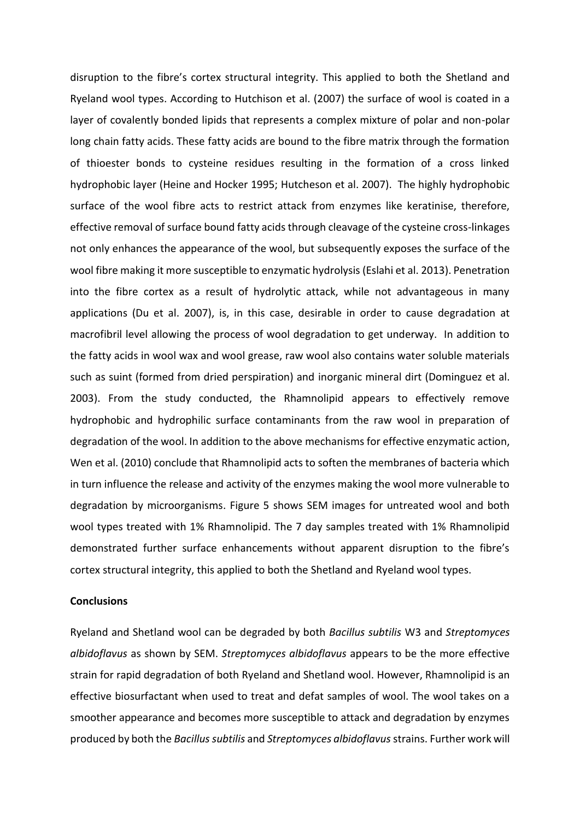disruption to the fibre's cortex structural integrity. This applied to both the Shetland and Ryeland wool types. According to Hutchison et al. (2007) the surface of wool is coated in a layer of covalently bonded lipids that represents a complex mixture of polar and non-polar long chain fatty acids. These fatty acids are bound to the fibre matrix through the formation of thioester bonds to cysteine residues resulting in the formation of a cross linked hydrophobic layer (Heine and Hocker 1995; Hutcheson et al. 2007). The highly hydrophobic surface of the wool fibre acts to restrict attack from enzymes like keratinise, therefore, effective removal of surface bound fatty acids through cleavage of the cysteine cross-linkages not only enhances the appearance of the wool, but subsequently exposes the surface of the wool fibre making it more susceptible to enzymatic hydrolysis (Eslahi et al. 2013). Penetration into the fibre cortex as a result of hydrolytic attack, while not advantageous in many applications (Du et al. 2007), is, in this case, desirable in order to cause degradation at macrofibril level allowing the process of wool degradation to get underway. In addition to the fatty acids in wool wax and wool grease, raw wool also contains water soluble materials such as suint (formed from dried perspiration) and inorganic mineral dirt (Dominguez et al. 2003). From the study conducted, the Rhamnolipid appears to effectively remove hydrophobic and hydrophilic surface contaminants from the raw wool in preparation of degradation of the wool. In addition to the above mechanisms for effective enzymatic action, Wen et al. (2010) conclude that Rhamnolipid acts to soften the membranes of bacteria which in turn influence the release and activity of the enzymes making the wool more vulnerable to degradation by microorganisms. Figure 5 shows SEM images for untreated wool and both wool types treated with 1% Rhamnolipid. The 7 day samples treated with 1% Rhamnolipid demonstrated further surface enhancements without apparent disruption to the fibre's cortex structural integrity, this applied to both the Shetland and Ryeland wool types.

### **Conclusions**

Ryeland and Shetland wool can be degraded by both *Bacillus subtilis* W3 and *Streptomyces albidoflavus* as shown by SEM. *Streptomyces albidoflavus* appears to be the more effective strain for rapid degradation of both Ryeland and Shetland wool. However, Rhamnolipid is an effective biosurfactant when used to treat and defat samples of wool. The wool takes on a smoother appearance and becomes more susceptible to attack and degradation by enzymes produced by both the *Bacillus subtilis* and *Streptomyces albidoflavus* strains. Further work will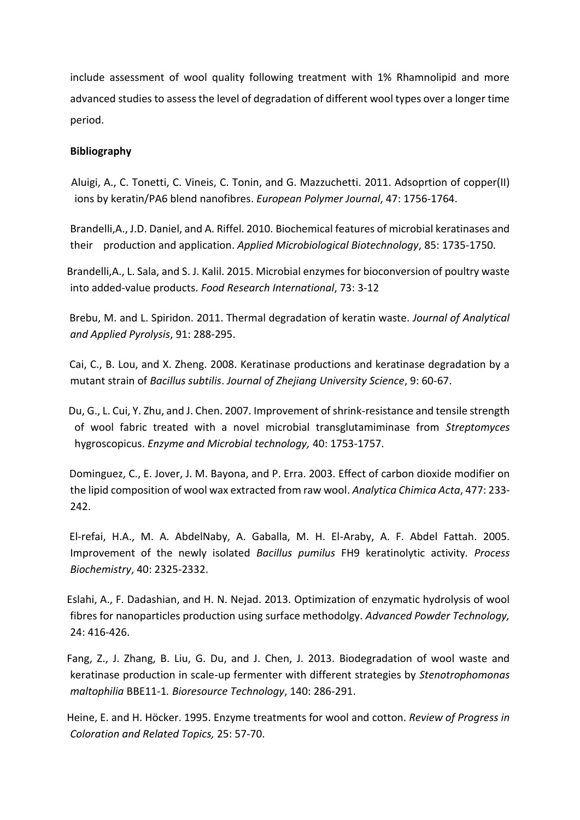include assessment of wool quality following treatment with 1% Rhamnolipid and more advanced studies to assess the level of degradation of different wool types over a longer time period.

# **Bibliography**

 Aluigi, A., C. Tonetti, C. Vineis, C. Tonin, and G. Mazzuchetti. 2011. Adsoprtion of copper(II) ions by keratin/PA6 blend nanofibres. *European Polymer Journal*, 47: 1756-1764.

Brandelli,A., J.D. Daniel, and A. Riffel. 2010. Biochemical features of microbial keratinases and their production and application. *Applied Microbiological Biotechnology*, 85: 1735-1750.

 Brandelli,A., L. Sala, and S. J. Kalil. 2015. Microbial enzymes for bioconversion of poultry waste into added-value products. *Food Research International*, 73: 3-12

 Brebu, M. and L. Spiridon. 2011. Thermal degradation of keratin waste. *Journal of Analytical and Applied Pyrolysis*, 91: 288-295.

 Cai, C., B. Lou, and X. Zheng. 2008. Keratinase productions and keratinase degradation by a mutant strain of *Bacillus subtilis*. *Journal of Zhejiang University Science*, 9: 60-67.

 Du, G., L. Cui, Y. Zhu, and J. Chen. 2007. Improvement of shrink-resistance and tensile strength of wool fabric treated with a novel microbial transglutamiminase from *Streptomyces* hygroscopicus. *Enzyme and Microbial technology,* 40: 1753-1757.

 Dominguez, C., E. Jover, J. M. Bayona, and P. Erra. 2003. Effect of carbon dioxide modifier on the lipid composition of wool wax extracted from raw wool. *Analytica Chimica Acta*, 477: 233- 242.

 El-refai, H.A., M. A. AbdelNaby, A. Gaballa, M. H. El-Araby, A. F. Abdel Fattah. 2005. Improvement of the newly isolated *Bacillus pumilus* FH9 keratinolytic activity*. Process Biochemistry*, 40: 2325-2332.

 Eslahi, A., F. Dadashian, and H. N. Nejad. 2013. Optimization of enzymatic hydrolysis of wool fibres for nanoparticles production using surface methodolgy. *Advanced Powder Technology,* 24: 416-426.

 Fang, Z., J. Zhang, B. Liu, G. Du, and J. Chen, J. 2013. Biodegradation of wool waste and keratinase production in scale-up fermenter with different strategies by *Stenotrophomonas maltophilia* BBE11-1*. Bioresource Technology*, 140: 286-291.

 Heine, E. and H. Höcker. 1995. Enzyme treatments for wool and cotton. *Review of Progress in Coloration and Related Topics,* 25: 57-70.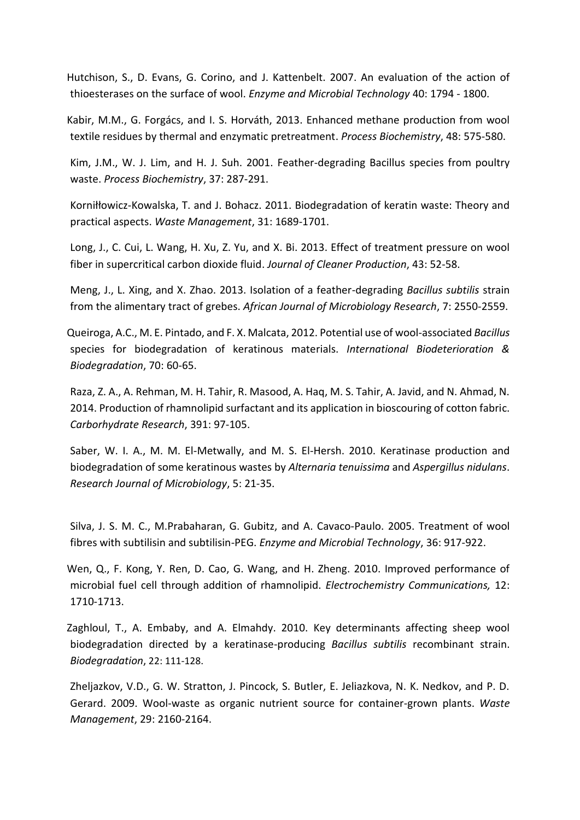Hutchison, S., D. Evans, G. Corino, and J. Kattenbelt. 2007. An evaluation of the action of thioesterases on the surface of wool. *Enzyme and Microbial Technology* 40: 1794 - 1800.

 Kabir, M.M., G. Forgács, and I. S. Horváth, 2013. Enhanced methane production from wool textile residues by thermal and enzymatic pretreatment. *Process Biochemistry*, 48: 575-580.

Kim, J.M., W. J. Lim, and H. J. Suh. 2001. Feather-degrading Bacillus species from poultry waste. *Process Biochemistry*, 37: 287-291.

Korniłłowicz-Kowalska, T. and J. Bohacz. 2011. Biodegradation of keratin waste: Theory and practical aspects. *Waste Management*, 31: 1689-1701.

Long, J., C. Cui, L. Wang, H. Xu, Z. Yu, and X. Bi. 2013. Effect of treatment pressure on wool fiber in supercritical carbon dioxide fluid. *Journal of Cleaner Production*, 43: 52-58.

Meng, J., L. Xing, and X. Zhao. 2013. Isolation of a feather-degrading *Bacillus subtilis* strain from the alimentary tract of grebes. *African Journal of Microbiology Research*, 7: 2550-2559.

 Queiroga, A.C., M. E. Pintado, and F. X. Malcata, 2012. Potential use of wool-associated *Bacillus* species for biodegradation of keratinous materials. *International Biodeterioration & Biodegradation*, 70: 60-65.

Raza, Z. A., A. Rehman, M. H. Tahir, R. Masood, A. Haq, M. S. Tahir, A. Javid, and N. Ahmad, N. 2014. Production of rhamnolipid surfactant and its application in bioscouring of cotton fabric. *Carborhydrate Research*, 391: 97-105.

Saber, W. I. A., M. M. El-Metwally, and M. S. El-Hersh. 2010. Keratinase production and biodegradation of some keratinous wastes by *Alternaria tenuissima* and *Aspergillus nidulans*. *Research Journal of Microbiology*, 5: 21-35.

Silva, J. S. M. C., M.Prabaharan, G. Gubitz, and A. Cavaco-Paulo. 2005. Treatment of wool fibres with subtilisin and subtilisin-PEG. *Enzyme and Microbial Technology*, 36: 917-922.

 Wen, Q., F. Kong, Y. Ren, D. Cao, G. Wang, and H. Zheng. 2010. Improved performance of microbial fuel cell through addition of rhamnolipid. *Electrochemistry Communications,* 12: 1710-1713.

 Zaghloul, T., A. Embaby, and A. Elmahdy. 2010. Key determinants affecting sheep wool biodegradation directed by a keratinase-producing *Bacillus subtilis* recombinant strain. *Biodegradation*, 22: 111-128.

Zheljazkov, V.D., G. W. Stratton, J. Pincock, S. Butler, E. Jeliazkova, N. K. Nedkov, and P. D. Gerard. 2009. Wool-waste as organic nutrient source for container-grown plants. *Waste Management*, 29: 2160-2164.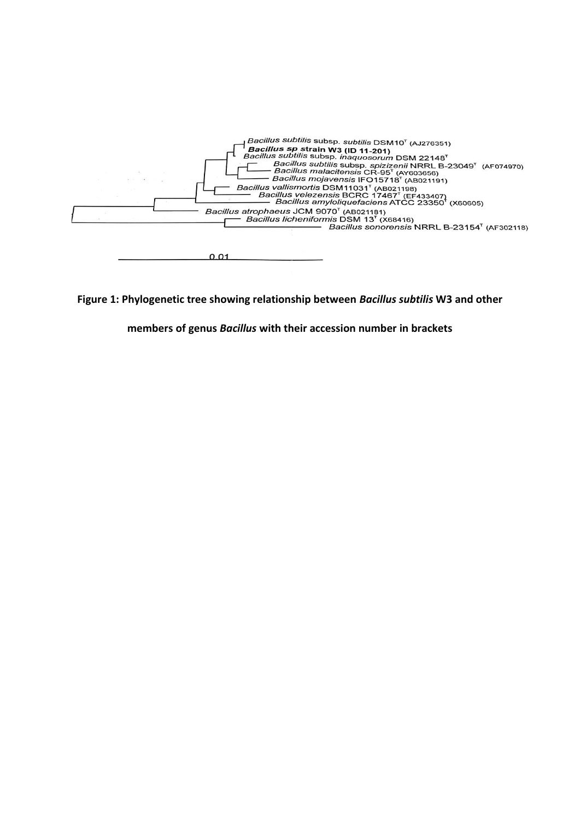

**Figure 1: Phylogenetic tree showing relationship between** *Bacillus subtilis* **W3 and other** 

**members of genus** *Bacillus* **with their accession number in brackets**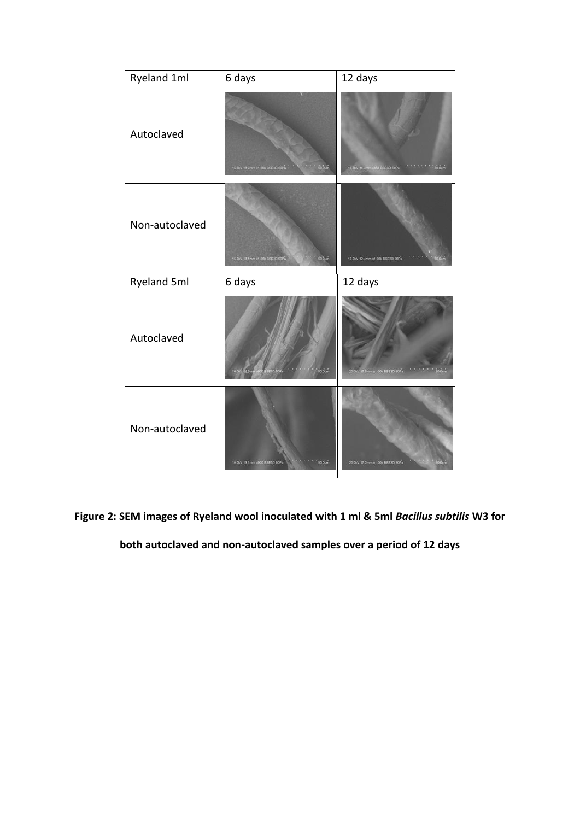| Ryeland 1ml    | 6 days                                    | 12 days                                           |
|----------------|-------------------------------------------|---------------------------------------------------|
| Autoclaved     | 15.0kV 13.2mm x1.00k BSE30.50Pa<br>so our | 大きなもの<br>'só oum<br>10.0kV 14 3mm x850 BSE30 50Pa |
| Non-autoclaved | 15.0KV 13 1mm x1.00k 85630.50Pa<br>sa áum | 10.0kV 12.4mm x1.00k BSE3O 50Pa                   |
|                |                                           |                                                   |
| Ryeland 5ml    | 6 days                                    | 12 days                                           |
| Autoclaved     |                                           | 20 GKV 17 Smm x1 00k BSE3D 50Ps                   |

**Figure 2: SEM images of Ryeland wool inoculated with 1 ml & 5ml** *Bacillus subtilis* **W3 for** 

**both autoclaved and non-autoclaved samples over a period of 12 days**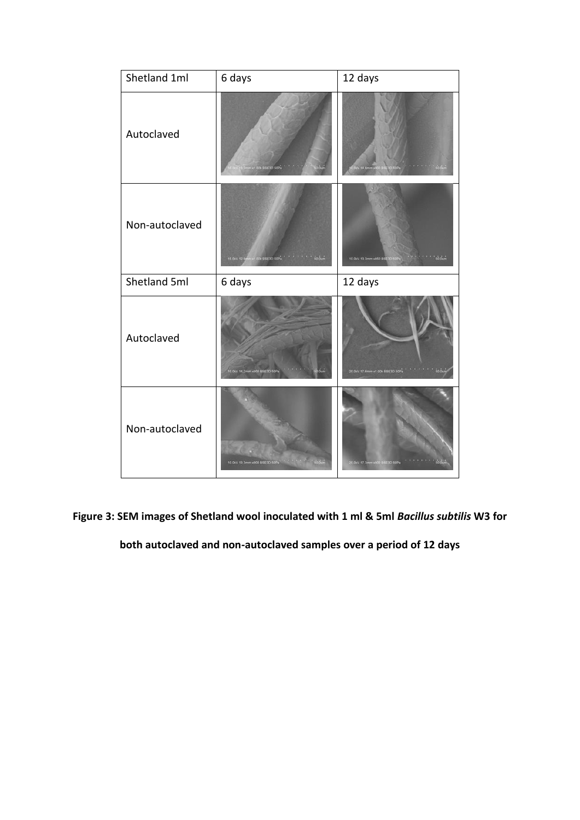| Shetland 1ml   | 6 days                              | 12 days                                |
|----------------|-------------------------------------|----------------------------------------|
| Autoclaved     | m x1.00k BSE3D 50                   | <b>CARL</b>                            |
| Non-autoclaved | ON BSE3D 50Pa 1 30 Out<br>15 OkV 12 | số ổum<br>10.0kV 13.3mm x850 BSE3D 50P |
| Shetland 5ml   | 6 days                              | 12 days                                |
|                |                                     |                                        |
| Autoclaved     | 10 0kV 14 2mm x900 BSE3D 50F        | 20 OkV 17 6mm x1.00k BSE3D 50Pa        |

**Figure 3: SEM images of Shetland wool inoculated with 1 ml & 5ml** *Bacillus subtilis* **W3 for** 

**both autoclaved and non-autoclaved samples over a period of 12 days**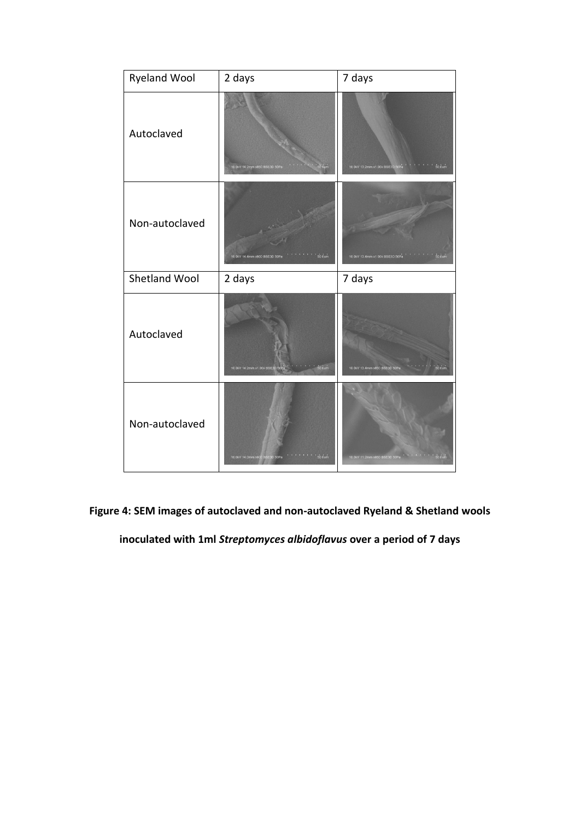| <b>Ryeland Wool</b> | 2 days                                                         | 7 days                                                        |
|---------------------|----------------------------------------------------------------|---------------------------------------------------------------|
| Autoclaved          | 1 1 1 1 1 1 50 0um<br>10.0kV 14.2mm x850 BSE3D 50Pa            | 10.0kV 13.2mm x1.00k BSE3D 50Pa $\rightarrow$ 100 100 100 00m |
| Non-autoclaved      | $1.111360$ dum<br>10.0kV 14.4mm x900 BSE3D 50Pa                | 10.0kV 13.4mm x1.00k BSE3D 50Pa ''''''''''' 50.0um            |
|                     |                                                                |                                                               |
| Shetland Wool       | 2 days                                                         | 7 days                                                        |
| Autoclaved          | $\cdots$ $\cdots$ 50 $\cdots$<br>10.0kV 14.2mm x1.00k BSE3D 50 | $50.0$ um<br>10.0kV 13.4mm x850 BSE3D 50Pa                    |

**Figure 4: SEM images of autoclaved and non-autoclaved Ryeland & Shetland wools** 

**inoculated with 1ml** *Streptomyces albidoflavus* **over a period of 7 days**